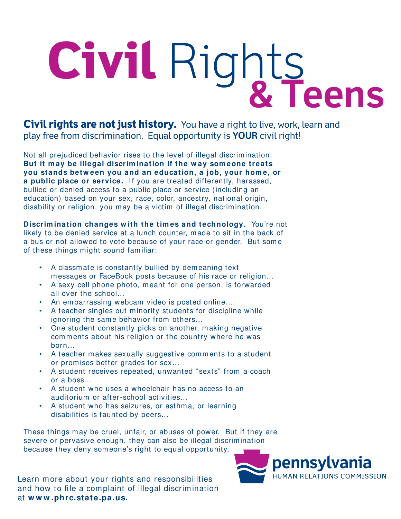## **Civil** Rights **& Teens**

**Civil rights are not just history.** You have a right to live, work, learn and play free from discrimination. Equal opportunity is **YOUR** civil right!

Not all prejudiced behavior rises to the level of illegal discrim ination. But it may be illegal discrimination if the way someone treats **you stands betw een you and an education, a job, your hom e, or a public place or service.** If you are treated differently, harassed, bullied or denied access to a public place or service (including an education) based on your sex, race, color, ancestry, national origin, disability or religion, you may be a victim of illegal discrimination.

**Discrim ination changes w ith the tim es and technology.** You're not likely to be denied service at a lunch counter, m ade to sit in the back of a bus or not allowed to vote because of your race or gender. But som e of these things might sound familiar:

- A classm ate is constantly bullied by dem eaning text m essages or FaceBook posts because of his race or religion…
- A sexy cell phone photo, m eant for one person, is forwarded all over the school…
- An embarrassing webcam video is posted online...
- A teacher singles out minority students for discipline while ignoring the same behavior from others...
- One student constantly picks on another, making negative comments about his religion or the country where he was born…
- A teacher m akes sexually suggestive com m ents to a student or prom ises better grades for sex…
- A student receives repeated, unwanted "sexts" from a coach or a boss…
- A student who uses a wheelchair has no access to an auditorium or after-school activities…
- A student who has seizures, or asthm a, or learning disabilities is taunted by peers…

These things may be cruel, unfair, or abuses of power. But if they are severe or pervasive enough, they can also be illegal discrimination because they deny som eone's right to equal opportunity.

Learn m ore about your rights and responsibilities and how to file a complaint of illegal discrimination at **w w w .phrc.state.pa.us.**